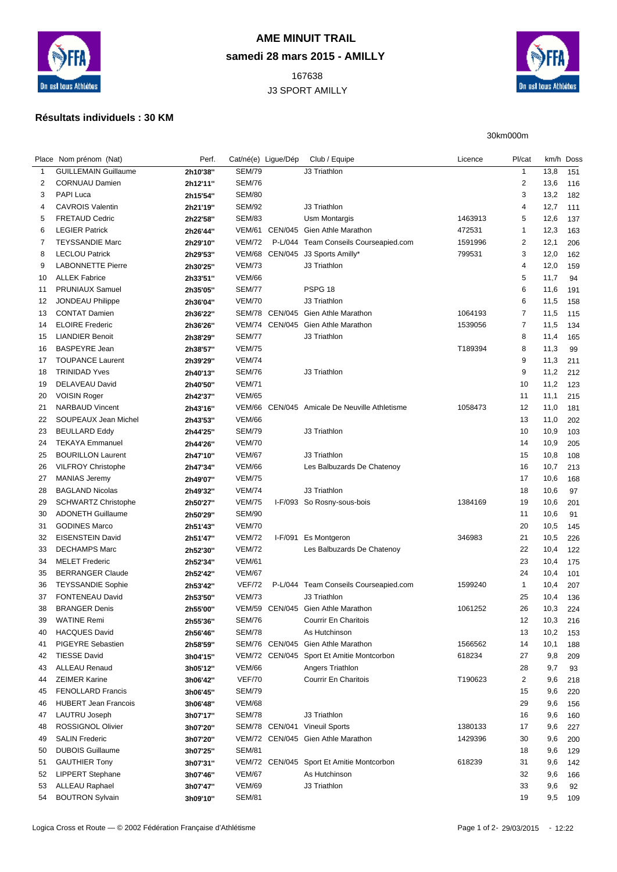

## **AME MINUIT TRAIL samedi 28 mars 2015 - AMILLY**

 J3 SPORT AMILLY



30km000m

## **Résultats individuels : 30 KM**

|                             | Perf.                                                                                                                                                                                                                                                                                                                                                                                                                                                                                                                                                                                                                           |                                                                                                                                                                                                                      |                                                                                                                                                                                                                                                                                                                                                  | Club / Equipe                                    | Licence                                                                                                                                                                                                                                                                                                                                                                                                                                                                                                                                                                                                  | Pl/cat                                             |                                                                                                                                            |                                                                                                                                                                                                           |
|-----------------------------|---------------------------------------------------------------------------------------------------------------------------------------------------------------------------------------------------------------------------------------------------------------------------------------------------------------------------------------------------------------------------------------------------------------------------------------------------------------------------------------------------------------------------------------------------------------------------------------------------------------------------------|----------------------------------------------------------------------------------------------------------------------------------------------------------------------------------------------------------------------|--------------------------------------------------------------------------------------------------------------------------------------------------------------------------------------------------------------------------------------------------------------------------------------------------------------------------------------------------|--------------------------------------------------|----------------------------------------------------------------------------------------------------------------------------------------------------------------------------------------------------------------------------------------------------------------------------------------------------------------------------------------------------------------------------------------------------------------------------------------------------------------------------------------------------------------------------------------------------------------------------------------------------------|----------------------------------------------------|--------------------------------------------------------------------------------------------------------------------------------------------|-----------------------------------------------------------------------------------------------------------------------------------------------------------------------------------------------------------|
| <b>GUILLEMAIN Guillaume</b> | 2h10'38"                                                                                                                                                                                                                                                                                                                                                                                                                                                                                                                                                                                                                        | <b>SEM/79</b>                                                                                                                                                                                                        |                                                                                                                                                                                                                                                                                                                                                  | J3 Triathlon                                     |                                                                                                                                                                                                                                                                                                                                                                                                                                                                                                                                                                                                          | $\mathbf{1}$                                       | 13,8                                                                                                                                       | 151                                                                                                                                                                                                       |
| <b>CORNUAU Damien</b>       | 2h12'11"                                                                                                                                                                                                                                                                                                                                                                                                                                                                                                                                                                                                                        | <b>SEM/76</b>                                                                                                                                                                                                        |                                                                                                                                                                                                                                                                                                                                                  |                                                  |                                                                                                                                                                                                                                                                                                                                                                                                                                                                                                                                                                                                          | $\overline{\mathbf{c}}$                            | 13,6                                                                                                                                       | 116                                                                                                                                                                                                       |
| <b>PAPI Luca</b>            | 2h15'54"                                                                                                                                                                                                                                                                                                                                                                                                                                                                                                                                                                                                                        | <b>SEM/80</b>                                                                                                                                                                                                        |                                                                                                                                                                                                                                                                                                                                                  |                                                  |                                                                                                                                                                                                                                                                                                                                                                                                                                                                                                                                                                                                          | 3                                                  | 13,2                                                                                                                                       | 182                                                                                                                                                                                                       |
| <b>CAVROIS Valentin</b>     | 2h21'19"                                                                                                                                                                                                                                                                                                                                                                                                                                                                                                                                                                                                                        | <b>SEM/92</b>                                                                                                                                                                                                        |                                                                                                                                                                                                                                                                                                                                                  | J3 Triathlon                                     |                                                                                                                                                                                                                                                                                                                                                                                                                                                                                                                                                                                                          | 4                                                  | 12,7                                                                                                                                       | 111                                                                                                                                                                                                       |
| <b>FRETAUD Cedric</b>       | 2h22'58"                                                                                                                                                                                                                                                                                                                                                                                                                                                                                                                                                                                                                        | <b>SEM/83</b>                                                                                                                                                                                                        |                                                                                                                                                                                                                                                                                                                                                  | Usm Montargis                                    | 1463913                                                                                                                                                                                                                                                                                                                                                                                                                                                                                                                                                                                                  | 5                                                  | 12,6                                                                                                                                       | 137                                                                                                                                                                                                       |
| <b>LEGIER Patrick</b>       | 2h26'44"                                                                                                                                                                                                                                                                                                                                                                                                                                                                                                                                                                                                                        |                                                                                                                                                                                                                      |                                                                                                                                                                                                                                                                                                                                                  |                                                  | 472531                                                                                                                                                                                                                                                                                                                                                                                                                                                                                                                                                                                                   | $\mathbf{1}$                                       | 12,3                                                                                                                                       | 163                                                                                                                                                                                                       |
| <b>TEYSSANDIE Marc</b>      | 2h29'10"                                                                                                                                                                                                                                                                                                                                                                                                                                                                                                                                                                                                                        | <b>VEM/72</b>                                                                                                                                                                                                        | P-L/044                                                                                                                                                                                                                                                                                                                                          | Team Conseils Courseapied.com                    | 1591996                                                                                                                                                                                                                                                                                                                                                                                                                                                                                                                                                                                                  | $\overline{\mathbf{c}}$                            | 12,1                                                                                                                                       | 206                                                                                                                                                                                                       |
| <b>LECLOU Patrick</b>       | 2h29'53"                                                                                                                                                                                                                                                                                                                                                                                                                                                                                                                                                                                                                        |                                                                                                                                                                                                                      |                                                                                                                                                                                                                                                                                                                                                  | J3 Sports Amilly*                                | 799531                                                                                                                                                                                                                                                                                                                                                                                                                                                                                                                                                                                                   | 3                                                  | 12,0                                                                                                                                       | 162                                                                                                                                                                                                       |
| <b>LABONNETTE Pierre</b>    | 2h30'25"                                                                                                                                                                                                                                                                                                                                                                                                                                                                                                                                                                                                                        | <b>VEM/73</b>                                                                                                                                                                                                        |                                                                                                                                                                                                                                                                                                                                                  | J3 Triathlon                                     |                                                                                                                                                                                                                                                                                                                                                                                                                                                                                                                                                                                                          | 4                                                  | 12,0                                                                                                                                       | 159                                                                                                                                                                                                       |
| <b>ALLEK Fabrice</b>        | 2h33'51"                                                                                                                                                                                                                                                                                                                                                                                                                                                                                                                                                                                                                        | <b>VEM/66</b>                                                                                                                                                                                                        |                                                                                                                                                                                                                                                                                                                                                  |                                                  |                                                                                                                                                                                                                                                                                                                                                                                                                                                                                                                                                                                                          | 5                                                  | 11,7                                                                                                                                       | 94                                                                                                                                                                                                        |
| <b>PRUNIAUX Samuel</b>      | 2h35'05"                                                                                                                                                                                                                                                                                                                                                                                                                                                                                                                                                                                                                        | <b>SEM/77</b>                                                                                                                                                                                                        |                                                                                                                                                                                                                                                                                                                                                  | PSPG <sub>18</sub>                               |                                                                                                                                                                                                                                                                                                                                                                                                                                                                                                                                                                                                          | 6                                                  | 11,6                                                                                                                                       | 191                                                                                                                                                                                                       |
| JONDEAU Philippe            | 2h36'04"                                                                                                                                                                                                                                                                                                                                                                                                                                                                                                                                                                                                                        | <b>VEM/70</b>                                                                                                                                                                                                        |                                                                                                                                                                                                                                                                                                                                                  | J3 Triathlon                                     |                                                                                                                                                                                                                                                                                                                                                                                                                                                                                                                                                                                                          | 6                                                  | 11,5                                                                                                                                       | 158                                                                                                                                                                                                       |
| <b>CONTAT Damien</b>        | 2h36'22"                                                                                                                                                                                                                                                                                                                                                                                                                                                                                                                                                                                                                        |                                                                                                                                                                                                                      |                                                                                                                                                                                                                                                                                                                                                  | Gien Athle Marathon                              | 1064193                                                                                                                                                                                                                                                                                                                                                                                                                                                                                                                                                                                                  | $\overline{7}$                                     | 11,5                                                                                                                                       | 115                                                                                                                                                                                                       |
| <b>ELOIRE Frederic</b>      | 2h36'26"                                                                                                                                                                                                                                                                                                                                                                                                                                                                                                                                                                                                                        |                                                                                                                                                                                                                      |                                                                                                                                                                                                                                                                                                                                                  | Gien Athle Marathon                              | 1539056                                                                                                                                                                                                                                                                                                                                                                                                                                                                                                                                                                                                  | 7                                                  | 11,5                                                                                                                                       | 134                                                                                                                                                                                                       |
| <b>LIANDIER Benoit</b>      | 2h38'29"                                                                                                                                                                                                                                                                                                                                                                                                                                                                                                                                                                                                                        | <b>SEM/77</b>                                                                                                                                                                                                        |                                                                                                                                                                                                                                                                                                                                                  | J3 Triathlon                                     |                                                                                                                                                                                                                                                                                                                                                                                                                                                                                                                                                                                                          | 8                                                  | 11,4                                                                                                                                       | 165                                                                                                                                                                                                       |
| <b>BASPEYRE Jean</b>        |                                                                                                                                                                                                                                                                                                                                                                                                                                                                                                                                                                                                                                 | <b>VEM/75</b>                                                                                                                                                                                                        |                                                                                                                                                                                                                                                                                                                                                  |                                                  | T189394                                                                                                                                                                                                                                                                                                                                                                                                                                                                                                                                                                                                  | 8                                                  |                                                                                                                                            | 99                                                                                                                                                                                                        |
| <b>TOUPANCE Laurent</b>     |                                                                                                                                                                                                                                                                                                                                                                                                                                                                                                                                                                                                                                 | <b>VEM/74</b>                                                                                                                                                                                                        |                                                                                                                                                                                                                                                                                                                                                  |                                                  |                                                                                                                                                                                                                                                                                                                                                                                                                                                                                                                                                                                                          | 9                                                  | 11,3                                                                                                                                       | 211                                                                                                                                                                                                       |
| <b>TRINIDAD Yves</b>        |                                                                                                                                                                                                                                                                                                                                                                                                                                                                                                                                                                                                                                 | <b>SEM/76</b>                                                                                                                                                                                                        |                                                                                                                                                                                                                                                                                                                                                  | J3 Triathlon                                     |                                                                                                                                                                                                                                                                                                                                                                                                                                                                                                                                                                                                          | 9                                                  |                                                                                                                                            | 212                                                                                                                                                                                                       |
|                             |                                                                                                                                                                                                                                                                                                                                                                                                                                                                                                                                                                                                                                 |                                                                                                                                                                                                                      |                                                                                                                                                                                                                                                                                                                                                  |                                                  |                                                                                                                                                                                                                                                                                                                                                                                                                                                                                                                                                                                                          |                                                    |                                                                                                                                            | 123                                                                                                                                                                                                       |
|                             |                                                                                                                                                                                                                                                                                                                                                                                                                                                                                                                                                                                                                                 |                                                                                                                                                                                                                      |                                                                                                                                                                                                                                                                                                                                                  |                                                  |                                                                                                                                                                                                                                                                                                                                                                                                                                                                                                                                                                                                          |                                                    |                                                                                                                                            | 215                                                                                                                                                                                                       |
|                             |                                                                                                                                                                                                                                                                                                                                                                                                                                                                                                                                                                                                                                 |                                                                                                                                                                                                                      |                                                                                                                                                                                                                                                                                                                                                  |                                                  |                                                                                                                                                                                                                                                                                                                                                                                                                                                                                                                                                                                                          |                                                    |                                                                                                                                            | 181                                                                                                                                                                                                       |
|                             |                                                                                                                                                                                                                                                                                                                                                                                                                                                                                                                                                                                                                                 |                                                                                                                                                                                                                      |                                                                                                                                                                                                                                                                                                                                                  |                                                  |                                                                                                                                                                                                                                                                                                                                                                                                                                                                                                                                                                                                          |                                                    |                                                                                                                                            | 202                                                                                                                                                                                                       |
|                             |                                                                                                                                                                                                                                                                                                                                                                                                                                                                                                                                                                                                                                 |                                                                                                                                                                                                                      |                                                                                                                                                                                                                                                                                                                                                  |                                                  |                                                                                                                                                                                                                                                                                                                                                                                                                                                                                                                                                                                                          |                                                    |                                                                                                                                            | 103                                                                                                                                                                                                       |
|                             |                                                                                                                                                                                                                                                                                                                                                                                                                                                                                                                                                                                                                                 |                                                                                                                                                                                                                      |                                                                                                                                                                                                                                                                                                                                                  |                                                  |                                                                                                                                                                                                                                                                                                                                                                                                                                                                                                                                                                                                          |                                                    |                                                                                                                                            | 205                                                                                                                                                                                                       |
|                             |                                                                                                                                                                                                                                                                                                                                                                                                                                                                                                                                                                                                                                 |                                                                                                                                                                                                                      |                                                                                                                                                                                                                                                                                                                                                  |                                                  |                                                                                                                                                                                                                                                                                                                                                                                                                                                                                                                                                                                                          |                                                    |                                                                                                                                            | 108                                                                                                                                                                                                       |
|                             |                                                                                                                                                                                                                                                                                                                                                                                                                                                                                                                                                                                                                                 |                                                                                                                                                                                                                      |                                                                                                                                                                                                                                                                                                                                                  |                                                  |                                                                                                                                                                                                                                                                                                                                                                                                                                                                                                                                                                                                          |                                                    |                                                                                                                                            | 213                                                                                                                                                                                                       |
|                             |                                                                                                                                                                                                                                                                                                                                                                                                                                                                                                                                                                                                                                 |                                                                                                                                                                                                                      |                                                                                                                                                                                                                                                                                                                                                  |                                                  |                                                                                                                                                                                                                                                                                                                                                                                                                                                                                                                                                                                                          |                                                    |                                                                                                                                            |                                                                                                                                                                                                           |
|                             |                                                                                                                                                                                                                                                                                                                                                                                                                                                                                                                                                                                                                                 |                                                                                                                                                                                                                      |                                                                                                                                                                                                                                                                                                                                                  |                                                  |                                                                                                                                                                                                                                                                                                                                                                                                                                                                                                                                                                                                          |                                                    |                                                                                                                                            | 168                                                                                                                                                                                                       |
|                             |                                                                                                                                                                                                                                                                                                                                                                                                                                                                                                                                                                                                                                 |                                                                                                                                                                                                                      |                                                                                                                                                                                                                                                                                                                                                  |                                                  |                                                                                                                                                                                                                                                                                                                                                                                                                                                                                                                                                                                                          |                                                    |                                                                                                                                            | 97                                                                                                                                                                                                        |
|                             |                                                                                                                                                                                                                                                                                                                                                                                                                                                                                                                                                                                                                                 |                                                                                                                                                                                                                      |                                                                                                                                                                                                                                                                                                                                                  |                                                  |                                                                                                                                                                                                                                                                                                                                                                                                                                                                                                                                                                                                          |                                                    |                                                                                                                                            | 201                                                                                                                                                                                                       |
|                             |                                                                                                                                                                                                                                                                                                                                                                                                                                                                                                                                                                                                                                 |                                                                                                                                                                                                                      |                                                                                                                                                                                                                                                                                                                                                  |                                                  |                                                                                                                                                                                                                                                                                                                                                                                                                                                                                                                                                                                                          |                                                    |                                                                                                                                            | 91                                                                                                                                                                                                        |
|                             |                                                                                                                                                                                                                                                                                                                                                                                                                                                                                                                                                                                                                                 |                                                                                                                                                                                                                      |                                                                                                                                                                                                                                                                                                                                                  |                                                  |                                                                                                                                                                                                                                                                                                                                                                                                                                                                                                                                                                                                          |                                                    |                                                                                                                                            | 145                                                                                                                                                                                                       |
|                             |                                                                                                                                                                                                                                                                                                                                                                                                                                                                                                                                                                                                                                 |                                                                                                                                                                                                                      |                                                                                                                                                                                                                                                                                                                                                  |                                                  |                                                                                                                                                                                                                                                                                                                                                                                                                                                                                                                                                                                                          |                                                    |                                                                                                                                            | 226                                                                                                                                                                                                       |
|                             |                                                                                                                                                                                                                                                                                                                                                                                                                                                                                                                                                                                                                                 |                                                                                                                                                                                                                      |                                                                                                                                                                                                                                                                                                                                                  |                                                  |                                                                                                                                                                                                                                                                                                                                                                                                                                                                                                                                                                                                          |                                                    |                                                                                                                                            | 122                                                                                                                                                                                                       |
|                             | 2h52'34"                                                                                                                                                                                                                                                                                                                                                                                                                                                                                                                                                                                                                        |                                                                                                                                                                                                                      |                                                                                                                                                                                                                                                                                                                                                  |                                                  |                                                                                                                                                                                                                                                                                                                                                                                                                                                                                                                                                                                                          |                                                    |                                                                                                                                            | 175                                                                                                                                                                                                       |
|                             | 2h52'42"                                                                                                                                                                                                                                                                                                                                                                                                                                                                                                                                                                                                                        |                                                                                                                                                                                                                      |                                                                                                                                                                                                                                                                                                                                                  |                                                  |                                                                                                                                                                                                                                                                                                                                                                                                                                                                                                                                                                                                          |                                                    |                                                                                                                                            | 101                                                                                                                                                                                                       |
|                             | 2h53'42"                                                                                                                                                                                                                                                                                                                                                                                                                                                                                                                                                                                                                        |                                                                                                                                                                                                                      |                                                                                                                                                                                                                                                                                                                                                  |                                                  |                                                                                                                                                                                                                                                                                                                                                                                                                                                                                                                                                                                                          |                                                    |                                                                                                                                            | 207                                                                                                                                                                                                       |
|                             | 2h53'50"                                                                                                                                                                                                                                                                                                                                                                                                                                                                                                                                                                                                                        |                                                                                                                                                                                                                      |                                                                                                                                                                                                                                                                                                                                                  |                                                  |                                                                                                                                                                                                                                                                                                                                                                                                                                                                                                                                                                                                          |                                                    |                                                                                                                                            | 136                                                                                                                                                                                                       |
|                             | 2h55'00"                                                                                                                                                                                                                                                                                                                                                                                                                                                                                                                                                                                                                        |                                                                                                                                                                                                                      |                                                                                                                                                                                                                                                                                                                                                  |                                                  |                                                                                                                                                                                                                                                                                                                                                                                                                                                                                                                                                                                                          |                                                    |                                                                                                                                            | 224                                                                                                                                                                                                       |
|                             | 2h55'36"                                                                                                                                                                                                                                                                                                                                                                                                                                                                                                                                                                                                                        |                                                                                                                                                                                                                      |                                                                                                                                                                                                                                                                                                                                                  |                                                  |                                                                                                                                                                                                                                                                                                                                                                                                                                                                                                                                                                                                          |                                                    |                                                                                                                                            | 216                                                                                                                                                                                                       |
|                             | 2h56'46"                                                                                                                                                                                                                                                                                                                                                                                                                                                                                                                                                                                                                        |                                                                                                                                                                                                                      |                                                                                                                                                                                                                                                                                                                                                  |                                                  |                                                                                                                                                                                                                                                                                                                                                                                                                                                                                                                                                                                                          |                                                    |                                                                                                                                            | 153                                                                                                                                                                                                       |
|                             | 2h58'59"                                                                                                                                                                                                                                                                                                                                                                                                                                                                                                                                                                                                                        |                                                                                                                                                                                                                      |                                                                                                                                                                                                                                                                                                                                                  |                                                  | 1566562                                                                                                                                                                                                                                                                                                                                                                                                                                                                                                                                                                                                  | 14                                                 | 10,1                                                                                                                                       | 188                                                                                                                                                                                                       |
| <b>TIESSE David</b>         | 3h04'15"                                                                                                                                                                                                                                                                                                                                                                                                                                                                                                                                                                                                                        |                                                                                                                                                                                                                      |                                                                                                                                                                                                                                                                                                                                                  | Sport Et Amitie Montcorbon                       | 618234                                                                                                                                                                                                                                                                                                                                                                                                                                                                                                                                                                                                   | 27                                                 | 9,8                                                                                                                                        | 209                                                                                                                                                                                                       |
| <b>ALLEAU Renaud</b>        | 3h05'12"                                                                                                                                                                                                                                                                                                                                                                                                                                                                                                                                                                                                                        | <b>VEM/66</b>                                                                                                                                                                                                        |                                                                                                                                                                                                                                                                                                                                                  | Angers Triathlon                                 |                                                                                                                                                                                                                                                                                                                                                                                                                                                                                                                                                                                                          | 28                                                 | 9,7                                                                                                                                        | 93                                                                                                                                                                                                        |
| <b>ZEIMER Karine</b>        | 3h06'42"                                                                                                                                                                                                                                                                                                                                                                                                                                                                                                                                                                                                                        | <b>VEF/70</b>                                                                                                                                                                                                        |                                                                                                                                                                                                                                                                                                                                                  | Courrir En Charitois                             | T190623                                                                                                                                                                                                                                                                                                                                                                                                                                                                                                                                                                                                  | $\overline{2}$                                     | 9,6                                                                                                                                        | 218                                                                                                                                                                                                       |
| <b>FENOLLARD Francis</b>    | 3h06'45"                                                                                                                                                                                                                                                                                                                                                                                                                                                                                                                                                                                                                        | <b>SEM/79</b>                                                                                                                                                                                                        |                                                                                                                                                                                                                                                                                                                                                  |                                                  |                                                                                                                                                                                                                                                                                                                                                                                                                                                                                                                                                                                                          | 15                                                 | 9,6                                                                                                                                        | 220                                                                                                                                                                                                       |
| <b>HUBERT Jean Francois</b> | 3h06'48"                                                                                                                                                                                                                                                                                                                                                                                                                                                                                                                                                                                                                        | <b>VEM/68</b>                                                                                                                                                                                                        |                                                                                                                                                                                                                                                                                                                                                  |                                                  |                                                                                                                                                                                                                                                                                                                                                                                                                                                                                                                                                                                                          | 29                                                 | 9,6                                                                                                                                        | 156                                                                                                                                                                                                       |
| <b>LAUTRU Joseph</b>        | 3h07'17"                                                                                                                                                                                                                                                                                                                                                                                                                                                                                                                                                                                                                        | <b>SEM/78</b>                                                                                                                                                                                                        |                                                                                                                                                                                                                                                                                                                                                  | J3 Triathlon                                     |                                                                                                                                                                                                                                                                                                                                                                                                                                                                                                                                                                                                          | 16                                                 | 9,6                                                                                                                                        | 160                                                                                                                                                                                                       |
| <b>ROSSIGNOL Olivier</b>    | 3h07'20"                                                                                                                                                                                                                                                                                                                                                                                                                                                                                                                                                                                                                        |                                                                                                                                                                                                                      |                                                                                                                                                                                                                                                                                                                                                  |                                                  | 1380133                                                                                                                                                                                                                                                                                                                                                                                                                                                                                                                                                                                                  | 17                                                 | 9,6                                                                                                                                        | 227                                                                                                                                                                                                       |
| <b>SALIN Frederic</b>       | 3h07'20"                                                                                                                                                                                                                                                                                                                                                                                                                                                                                                                                                                                                                        |                                                                                                                                                                                                                      |                                                                                                                                                                                                                                                                                                                                                  |                                                  | 1429396                                                                                                                                                                                                                                                                                                                                                                                                                                                                                                                                                                                                  | 30                                                 | 9,6                                                                                                                                        | 200                                                                                                                                                                                                       |
| <b>DUBOIS Guillaume</b>     | 3h07'25"                                                                                                                                                                                                                                                                                                                                                                                                                                                                                                                                                                                                                        | <b>SEM/81</b>                                                                                                                                                                                                        |                                                                                                                                                                                                                                                                                                                                                  |                                                  |                                                                                                                                                                                                                                                                                                                                                                                                                                                                                                                                                                                                          | 18                                                 | 9,6                                                                                                                                        | 129                                                                                                                                                                                                       |
| <b>GAUTHIER Tony</b>        | 3h07'31"                                                                                                                                                                                                                                                                                                                                                                                                                                                                                                                                                                                                                        |                                                                                                                                                                                                                      |                                                                                                                                                                                                                                                                                                                                                  |                                                  | 618239                                                                                                                                                                                                                                                                                                                                                                                                                                                                                                                                                                                                   | 31                                                 | 9,6                                                                                                                                        | 142                                                                                                                                                                                                       |
| <b>LIPPERT Stephane</b>     | 3h07'46"                                                                                                                                                                                                                                                                                                                                                                                                                                                                                                                                                                                                                        | <b>VEM/67</b>                                                                                                                                                                                                        |                                                                                                                                                                                                                                                                                                                                                  | As Hutchinson                                    |                                                                                                                                                                                                                                                                                                                                                                                                                                                                                                                                                                                                          | 32                                                 | 9,6                                                                                                                                        | 166                                                                                                                                                                                                       |
| <b>ALLEAU Raphael</b>       | 3h07'47"                                                                                                                                                                                                                                                                                                                                                                                                                                                                                                                                                                                                                        | <b>VEM/69</b>                                                                                                                                                                                                        |                                                                                                                                                                                                                                                                                                                                                  | J3 Triathlon                                     |                                                                                                                                                                                                                                                                                                                                                                                                                                                                                                                                                                                                          | 33                                                 | 9,6                                                                                                                                        | 92                                                                                                                                                                                                        |
| <b>BOUTRON Sylvain</b>      | 3h09'10"                                                                                                                                                                                                                                                                                                                                                                                                                                                                                                                                                                                                                        | <b>SEM/81</b>                                                                                                                                                                                                        |                                                                                                                                                                                                                                                                                                                                                  |                                                  |                                                                                                                                                                                                                                                                                                                                                                                                                                                                                                                                                                                                          | 19                                                 | 9,5                                                                                                                                        | 109                                                                                                                                                                                                       |
|                             | Place Nom prénom (Nat)<br>DELAVEAU David<br><b>VOISIN Roger</b><br><b>NARBAUD Vincent</b><br>SOUPEAUX Jean Michel<br><b>BEULLARD Eddy</b><br><b>TEKAYA Emmanuel</b><br><b>BOURILLON Laurent</b><br><b>VILFROY Christophe</b><br><b>MANIAS Jeremy</b><br><b>BAGLAND Nicolas</b><br><b>SCHWARTZ Christophe</b><br><b>ADONETH Guillaume</b><br><b>GODINES Marco</b><br><b>EISENSTEIN David</b><br><b>DECHAMPS Marc</b><br><b>MELET Frederic</b><br><b>BERRANGER Claude</b><br><b>TEYSSANDIE Sophie</b><br><b>FONTENEAU David</b><br><b>BRANGER Denis</b><br><b>WATINE Remi</b><br><b>HACQUES David</b><br><b>PIGEYRE Sebastien</b> | 2h38'57"<br>2h39'29"<br>2h40'13"<br>2h40'50"<br>2h42'37"<br>2h43'16"<br>2h43'53"<br>2h44'25"<br>2h44'26"<br>2h47'10"<br>2h47'34"<br>2h49'07"<br>2h49'32"<br>2h50'27"<br>2h50'29"<br>2h51'43"<br>2h51'47"<br>2h52'30" | <b>VEM/71</b><br><b>VEM/65</b><br><b>VEM/66</b><br><b>SEM/79</b><br><b>VEM/70</b><br><b>VEM/67</b><br><b>VEM/66</b><br><b>VEM/75</b><br><b>VEM/74</b><br><b>VEM/75</b><br><b>SEM/90</b><br><b>VEM/70</b><br><b>VEM/72</b><br><b>VEM/72</b><br><b>VEM/61</b><br><b>VEM/67</b><br><b>VEF/72</b><br><b>VEM/73</b><br><b>SEM/76</b><br><b>SEM/78</b> | Cat/né(e) Ligue/Dép<br>VEM/68 CEN/045<br>I-F/091 | VEM/61 CEN/045 Gien Athle Marathon<br>SEM/78 CEN/045<br>VEM/74 CEN/045<br>VEM/66 CEN/045 Amicale De Neuville Athletisme<br>J3 Triathlon<br>J3 Triathlon<br>Les Balbuzards De Chatenoy<br>J3 Triathlon<br>I-F/093 So Rosny-sous-bois<br>Es Montgeron<br>Les Balbuzards De Chatenoy<br>Team Conseils Courseapied.com<br>P-L/044<br>J3 Triathlon<br>VEM/59 CEN/045 Gien Athle Marathon<br>Courrir En Charitois<br>As Hutchinson<br>SEM/76 CEN/045 Gien Athle Marathon<br>VEM/72 CEN/045<br>SEM/78 CEN/041 Vineuil Sports<br>VEM/72 CEN/045 Gien Athle Marathon<br>VEM/72 CEN/045 Sport Et Amitie Montcorbon | 1058473<br>1384169<br>346983<br>1599240<br>1061252 | 10<br>11<br>12<br>13<br>10<br>14<br>15<br>16<br>17<br>18<br>19<br>11<br>20<br>21<br>22<br>23<br>24<br>$\mathbf{1}$<br>25<br>26<br>12<br>13 | km/h Doss<br>11,3<br>11,2<br>11,2<br>11,1<br>11,0<br>11,0<br>10,9<br>10,9<br>10,8<br>10,7<br>10,6<br>10,6<br>10,6<br>10,6<br>10,5<br>10,5<br>10,4<br>10,4<br>10,4<br>10,4<br>10,4<br>10,3<br>10,3<br>10,2 |